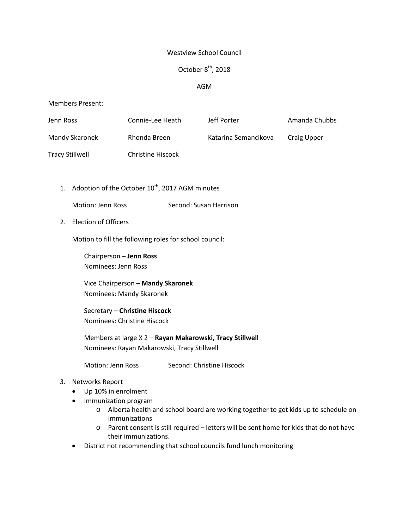### Westview School Council

# October 8<sup>th</sup>, 2018

## AGM

#### Members Present:

| Jenn Ross              | Connie-Lee Heath         | Jeff Porter          | Amanda Chubbs |
|------------------------|--------------------------|----------------------|---------------|
| Mandy Skaronek         | Rhonda Breen             | Katarina Semancikova | Craig Upper   |
| <b>Tracy Stillwell</b> | <b>Christine Hiscock</b> |                      |               |

1. Adoption of the October  $10^{th}$ , 2017 AGM minutes

Motion: Jenn Ross Second: Susan Harrison

2. Election of Officers

Motion to fill the following roles for school council:

Chairperson – **Jenn Ross** Nominees: Jenn Ross

Vice Chairperson – **Mandy Skaronek** Nominees: Mandy Skaronek

Secretary – **Christine Hiscock** Nominees: Christine Hiscock

Members at large X 2 – **Rayan Makarowski, Tracy Stillwell** Nominees: Rayan Makarowski, Tracy Stillwell

Motion: Jenn Ross Second: Christine Hiscock

- 3. Networks Report
	- Up 10% in enrolment
	- Immunization program
		- o Alberta health and school board are working together to get kids up to schedule on immunizations
		- o Parent consent is still required letters will be sent home for kids that do not have their immunizations.
	- District not recommending that school councils fund lunch monitoring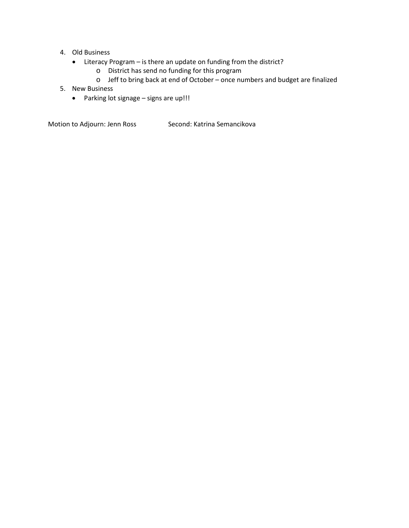- 4. Old Business
	- Literacy Program is there an update on funding from the district?
		- o District has send no funding for this program
		- o Jeff to bring back at end of October once numbers and budget are finalized
- 5. New Business
	- Parking lot signage signs are up!!!

Motion to Adjourn: Jenn Ross Second: Katrina Semancikova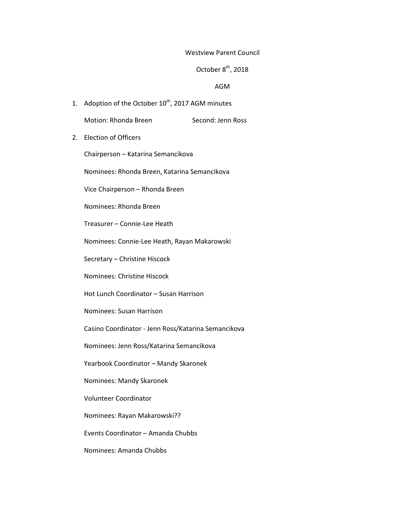#### Westview Parent Council

# October 8<sup>th</sup>, 2018

#### AGM

- 1. Adoption of the October  $10^{th}$ , 2017 AGM minutes
	- Motion: Rhonda Breen Second: Jenn Ross
- 2. Election of Officers

Chairperson – Katarina Semancikova

Nominees: Rhonda Breen, Katarina Semancikova

Vice Chairperson – Rhonda Breen

Nominees: Rhonda Breen

Treasurer – Connie-Lee Heath

Nominees: Connie-Lee Heath, Rayan Makarowski

Secretary – Christine Hiscock

Nominees: Christine Hiscock

Hot Lunch Coordinator – Susan Harrison

Nominees: Susan Harrison

Casino Coordinator - Jenn Ross/Katarina Semancikova

Nominees: Jenn Ross/Katarina Semancikova

Yearbook Coordinator – Mandy Skaronek

Nominees: Mandy Skaronek

Volunteer Coordinator

Nominees: Rayan Makarowski??

Events Coordinator – Amanda Chubbs

Nominees: Amanda Chubbs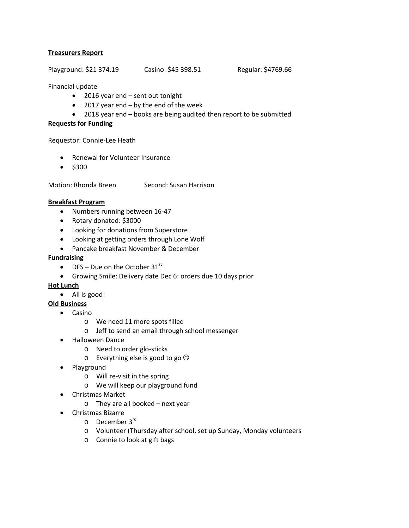# **Treasurers Report**

Playground: \$21 374.19 Casino: \$45 398.51 Regular: \$4769.66

Financial update

- 2016 year end sent out tonight
- 2017 year end by the end of the week
- 2018 year end books are being audited then report to be submitted

# **Requests for Funding**

Requestor: Connie-Lee Heath

- Renewal for Volunteer Insurance
- $•$  \$300

Motion: Rhonda Breen Second: Susan Harrison

# **Breakfast Program**

- Numbers running between 16-47
- Rotary donated: \$3000
- Looking for donations from Superstore
- Looking at getting orders through Lone Wolf
- Pancake breakfast November & December

# **Fundraising**

- DFS Due on the October  $31<sup>st</sup>$
- Growing Smile: Delivery date Dec 6: orders due 10 days prior

# **Hot Lunch**

• All is good!

# **Old Business**

- Casino
	- o We need 11 more spots filled
	- o Jeff to send an email through school messenger
- Halloween Dance
	- o Need to order glo-sticks
	- $\circ$  Everything else is good to go  $\odot$
- Playground
	- o Will re-visit in the spring
	- o We will keep our playground fund
- Christmas Market
	- o They are all booked next year
- Christmas Bizarre
	- o December 3rd
	- o Volunteer (Thursday after school, set up Sunday, Monday volunteers
	- o Connie to look at gift bags